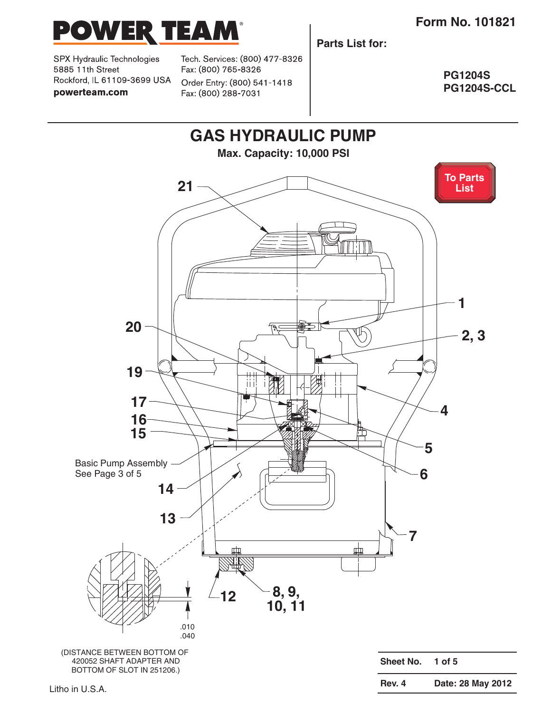

SPX Hydraulic Technologies 5885 11th Street Rockford, IL 61109-3699 USA powerteam.com

Tech. Services: (800) 477-8326 Fax: (800) 765-8326 Order Entry: (800) 541-1418 Fax: (800) 288-7031

**Parts List for:**

**PG1204S PG1204S-CCL**

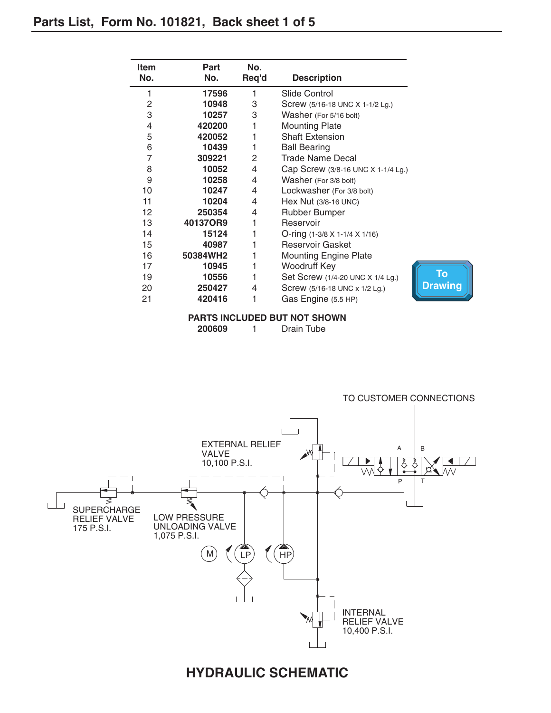Ĭ.

| No.<br>Req'd<br>No.<br><b>Description</b><br>1<br>17596<br>1<br>Slide Control<br>2<br>3<br>10948<br>Screw (5/16-18 UNC X 1-1/2 Lg.)<br>3<br>3<br>10257<br>Washer (For 5/16 bolt)<br>420200<br>4<br><b>Mounting Plate</b><br>5<br>420052<br><b>Shaft Extension</b><br>6<br>10439<br>1<br><b>Ball Bearing</b><br>$\overline{7}$<br>Trade Name Decal<br>309221<br>2 |
|------------------------------------------------------------------------------------------------------------------------------------------------------------------------------------------------------------------------------------------------------------------------------------------------------------------------------------------------------------------|
|                                                                                                                                                                                                                                                                                                                                                                  |
|                                                                                                                                                                                                                                                                                                                                                                  |
|                                                                                                                                                                                                                                                                                                                                                                  |
|                                                                                                                                                                                                                                                                                                                                                                  |
|                                                                                                                                                                                                                                                                                                                                                                  |
|                                                                                                                                                                                                                                                                                                                                                                  |
|                                                                                                                                                                                                                                                                                                                                                                  |
|                                                                                                                                                                                                                                                                                                                                                                  |
| 8<br>10052<br>4<br>Cap Screw (3/8-16 UNC X 1-1/4 Lg.)                                                                                                                                                                                                                                                                                                            |
| 9<br>10258<br>4<br>Washer (For 3/8 bolt)                                                                                                                                                                                                                                                                                                                         |
| 10247<br>10<br>4<br>Lockwasher (For 3/8 bolt)                                                                                                                                                                                                                                                                                                                    |
| 11<br>10204<br>4<br>Hex Nut (3/8-16 UNC)                                                                                                                                                                                                                                                                                                                         |
| 12<br>250354<br>Rubber Bumper<br>4                                                                                                                                                                                                                                                                                                                               |
| 401370R9<br>13<br>Reservoir                                                                                                                                                                                                                                                                                                                                      |
| 14<br>15124<br>1<br>O-ring $(1-3/8 \times 1-1/4 \times 1/16)$                                                                                                                                                                                                                                                                                                    |
| 15<br><b>Reservoir Gasket</b><br>40987                                                                                                                                                                                                                                                                                                                           |
| 16<br>50384WH2<br><b>Mounting Engine Plate</b>                                                                                                                                                                                                                                                                                                                   |
| Woodruff Key<br>17<br>10945<br>1                                                                                                                                                                                                                                                                                                                                 |
| 19<br>10556<br>Set Screw (1/4-20 UNC X 1/4 Lg.)                                                                                                                                                                                                                                                                                                                  |
| 20<br>250427<br>Screw (5/16-18 UNC x 1/2 Lg.)<br>4                                                                                                                                                                                                                                                                                                               |
| 21<br>420416<br>1<br>Gas Engine (5.5 HP)                                                                                                                                                                                                                                                                                                                         |

**PARTS INCLUDED BUT NOT SHOWN**

**200609** 1 Drain Tube



### **HYDRAULIC SCHEMATIC**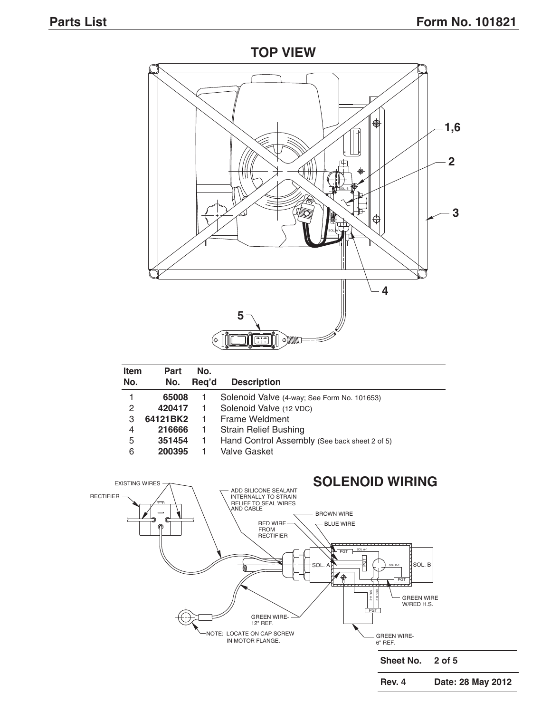#### **TOP VIEW**



| <b>Item</b> | Part     | No.   |                                               |  |  |
|-------------|----------|-------|-----------------------------------------------|--|--|
| No.         | No.      | Reg'd | <b>Description</b>                            |  |  |
|             | 65008    |       | Solenoid Valve (4-way; See Form No. 101653)   |  |  |
| 2           | 420417   |       | Solenoid Valve (12 VDC)                       |  |  |
| 3           | 64121BK2 |       | Frame Weldment                                |  |  |
| 4           | 216666   | 1     | <b>Strain Relief Bushing</b>                  |  |  |
| 5           | 351454   |       | Hand Control Assembly (See back sheet 2 of 5) |  |  |
| 6           | 200395   |       | Valve Gasket                                  |  |  |

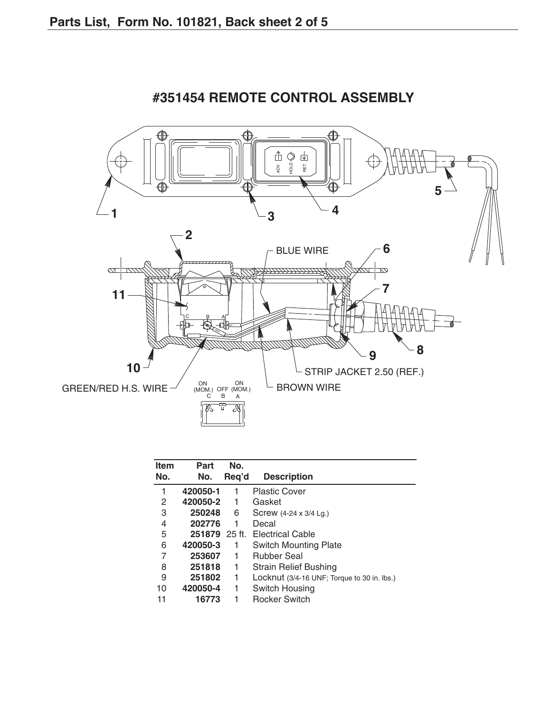

## **#351454 REMOTE CONTROL ASSEMBLY**

| Part     | No. |                                             |
|----------|-----|---------------------------------------------|
|          |     | <b>Description</b>                          |
| 420050-1 | 1   | <b>Plastic Cover</b>                        |
| 420050-2 | 1   | Gasket                                      |
| 250248   | 6   | Screw (4-24 x 3/4 Lg.)                      |
| 202776   |     | Decal                                       |
|          |     | <b>Electrical Cable</b>                     |
| 420050-3 |     | <b>Switch Mounting Plate</b>                |
| 253607   | 1   | <b>Rubber Seal</b>                          |
| 251818   | 1   | <b>Strain Relief Bushing</b>                |
| 251802   | 1   | Locknut (3/4-16 UNF; Torque to 30 in. lbs.) |
| 420050-4 | 1   | Switch Housing                              |
| 16773    |     | <b>Rocker Switch</b>                        |
|          | No. | Req'd<br>251879 25 ft.                      |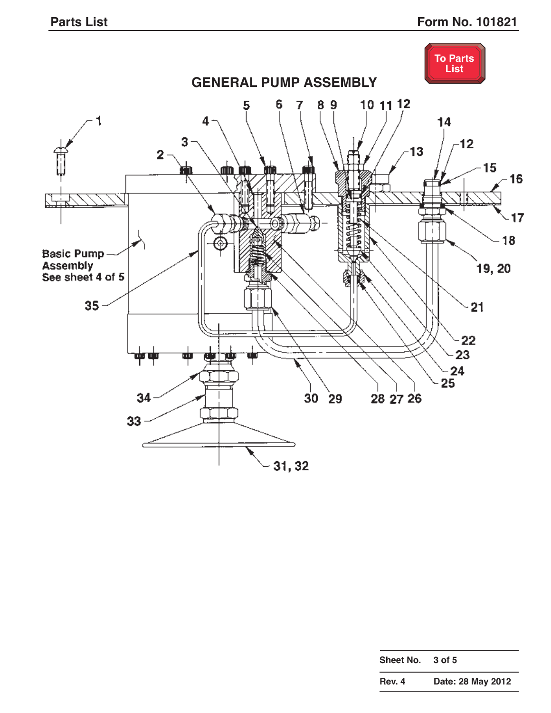

| <b>Rev. 4</b> | Date: 28 May 2012 |
|---------------|-------------------|
| Sheet No.     | 3 of 5            |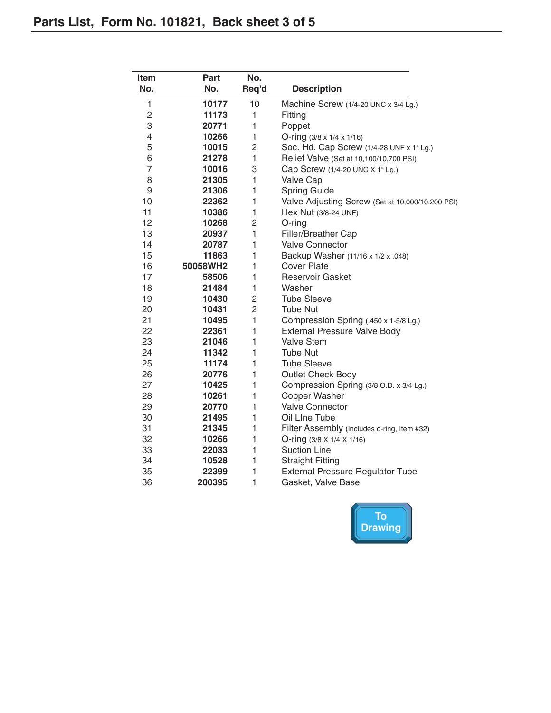| <b>Item</b>    | Part     | No.            |                                                  |
|----------------|----------|----------------|--------------------------------------------------|
| No.            | No.      | Req'd          | <b>Description</b>                               |
| 1              | 10177    | 10             | Machine Screw (1/4-20 UNC x 3/4 Lg.)             |
| $\overline{c}$ | 11173    | 1              | Fitting                                          |
| 3              | 20771    | $\mathbf{1}$   | Poppet                                           |
| 4              | 10266    | 1              | O-ring (3/8 x 1/4 x 1/16)                        |
| 5              | 10015    | 2              | Soc. Hd. Cap Screw (1/4-28 UNF x 1" Lg.)         |
| 6              | 21278    | $\mathbf{1}$   | Relief Valve (Set at 10,100/10,700 PSI)          |
| $\overline{7}$ | 10016    | 3              | Cap Screw (1/4-20 UNC X 1" Lg.)                  |
| 8              | 21305    | 1              | Valve Cap                                        |
| 9              | 21306    | 1              | <b>Spring Guide</b>                              |
| 10             | 22362    | $\mathbf{1}$   | Valve Adjusting Screw (Set at 10,000/10,200 PSI) |
| 11             | 10386    | $\mathbf{1}$   | Hex Nut (3/8-24 UNF)                             |
| 12             | 10268    | $\overline{c}$ | O-ring                                           |
| 13             | 20937    | $\mathbf{1}$   | Filler/Breather Cap                              |
| 14             | 20787    | $\mathbf{1}$   | <b>Valve Connector</b>                           |
| 15             | 11863    | $\mathbf{1}$   | Backup Washer (11/16 x 1/2 x .048)               |
| 16             | 50058WH2 | 1              | <b>Cover Plate</b>                               |
| 17             | 58506    | 1              | <b>Reservoir Gasket</b>                          |
| 18             | 21484    | 1              | Washer                                           |
| 19             | 10430    | 2              | <b>Tube Sleeve</b>                               |
| 20             | 10431    | $\overline{c}$ | Tube Nut                                         |
| 21             | 10495    | $\mathbf{1}$   | Compression Spring (.450 x 1-5/8 Lg.)            |
| 22             | 22361    | $\mathbf{1}$   | External Pressure Valve Body                     |
| 23             | 21046    | 1              | <b>Valve Stem</b>                                |
| 24             | 11342    | $\mathbf{1}$   | <b>Tube Nut</b>                                  |
| 25             | 11174    | 1              | <b>Tube Sleeve</b>                               |
| 26             | 20776    | 1              | Outlet Check Body                                |
| 27             | 10425    | 1              | Compression Spring (3/8 O.D. x 3/4 Lg.)          |
| 28             | 10261    | 1              | <b>Copper Washer</b>                             |
| 29             | 20770    | 1              | <b>Valve Connector</b>                           |
| 30             | 21495    | 1              | Oil Line Tube                                    |
| 31             | 21345    | 1              | Filter Assembly (Includes o-ring, Item #32)      |
| 32             | 10266    | 1              | O-ring (3/8 X 1/4 X 1/16)                        |
| 33             | 22033    | 1              | <b>Suction Line</b>                              |
| 34             | 10528    | $\mathbf{1}$   | <b>Straight Fitting</b>                          |
| 35             | 22399    | 1              | <b>External Pressure Regulator Tube</b>          |
| 36             | 200395   | $\mathbf{1}$   | Gasket, Valve Base                               |

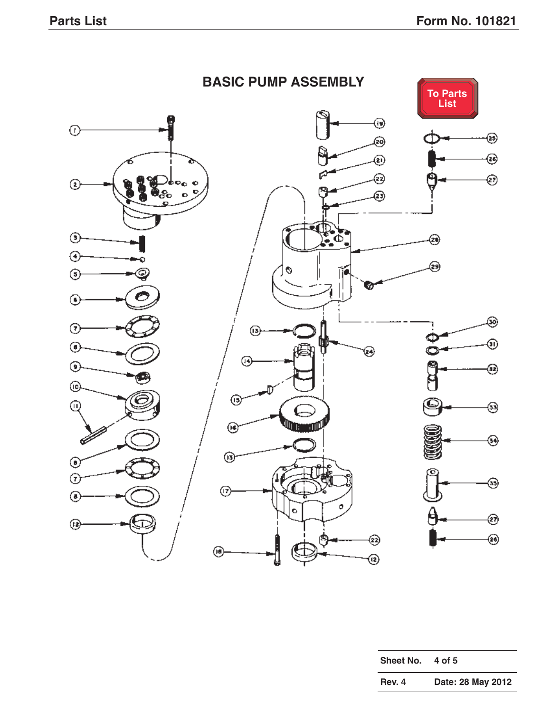

| Sheet No. | 4 of 5            |
|-----------|-------------------|
| Rev. 4    | Date: 28 May 2012 |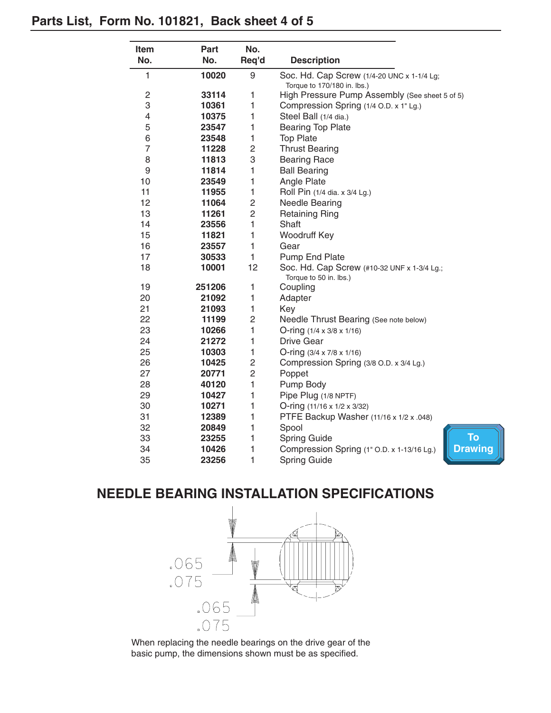#### **Parts List, Form No. 101821, Back sheet 4 of 5**

| Item           | Part   | No.            |                                                            |
|----------------|--------|----------------|------------------------------------------------------------|
| No.            | No.    | Req'd          | <b>Description</b>                                         |
| 1              | 10020  | 9              | Soc. Hd. Cap Screw (1/4-20 UNC x 1-1/4 Lg;                 |
|                |        |                | Torque to 170/180 in. lbs.)                                |
| 2              | 33114  | 1              | High Pressure Pump Assembly (See sheet 5 of 5)             |
| 3              | 10361  | 1              | Compression Spring (1/4 O.D. x 1" Lg.)                     |
| 4              | 10375  | 1              | Steel Ball (1/4 dia.)                                      |
| 5              | 23547  | 1              | <b>Bearing Top Plate</b>                                   |
| 6              | 23548  | 1              | <b>Top Plate</b>                                           |
| $\overline{7}$ | 11228  | $\overline{c}$ | <b>Thrust Bearing</b>                                      |
| 8              | 11813  | 3              | <b>Bearing Race</b>                                        |
| 9              | 11814  | 1              | <b>Ball Bearing</b>                                        |
| 10             | 23549  | 1              | Angle Plate                                                |
| 11             | 11955  | 1              | Roll Pin (1/4 dia. x 3/4 Lg.)                              |
| 12             | 11064  | $\overline{c}$ | Needle Bearing                                             |
| 13             | 11261  | $\overline{2}$ | <b>Retaining Ring</b>                                      |
| 14             | 23556  | $\mathbf{1}$   | Shaft                                                      |
| 15             | 11821  | 1              | Woodruff Key                                               |
| 16             | 23557  | 1              | Gear                                                       |
| 17             | 30533  | 1              | Pump End Plate                                             |
| 18             | 10001  | 12             | Soc. Hd. Cap Screw (#10-32 UNF x 1-3/4 Lg.;                |
| 19             | 251206 | 1              | Torque to 50 in. lbs.)<br>Coupling                         |
| 20             | 21092  | 1              | Adapter                                                    |
| 21             | 21093  | $\mathbf{1}$   | Key                                                        |
| 22             | 11199  | $\overline{c}$ | Needle Thrust Bearing (See note below)                     |
| 23             | 10266  | $\mathbf{1}$   | O-ring $(1/4 \times 3/8 \times 1/16)$                      |
| 24             | 21272  | 1              | <b>Drive Gear</b>                                          |
| 25             | 10303  | 1              | O-ring $(3/4 \times 7/8 \times 1/16)$                      |
| 26             | 10425  | $\overline{c}$ | Compression Spring (3/8 O.D. x 3/4 Lg.)                    |
| 27             | 20771  | $\overline{c}$ | Poppet                                                     |
| 28             | 40120  | 1              | Pump Body                                                  |
| 29             | 10427  | 1              | Pipe Plug (1/8 NPTF)                                       |
| 30             | 10271  | 1              | O-ring $(11/16 \times 1/2 \times 3/32)$                    |
| 31             | 12389  | 1              | PTFE Backup Washer (11/16 x 1/2 x .048)                    |
| 32             | 20849  | 1              | Spool                                                      |
| 33             | 23255  | 1              | <b>To</b><br>Spring Guide                                  |
| 34             | 10426  | 1              | <b>Drawi</b><br>Compression Spring (1" O.D. x 1-13/16 Lg.) |
| 35             | 23256  | 1              | Spring Guide                                               |

**ng** 

# **NEEDLE BEARING INSTALLATION SPECIFICATIONS**



When replacing the needle bearings on the drive gear of the basic pump, the dimensions shown must be as specified.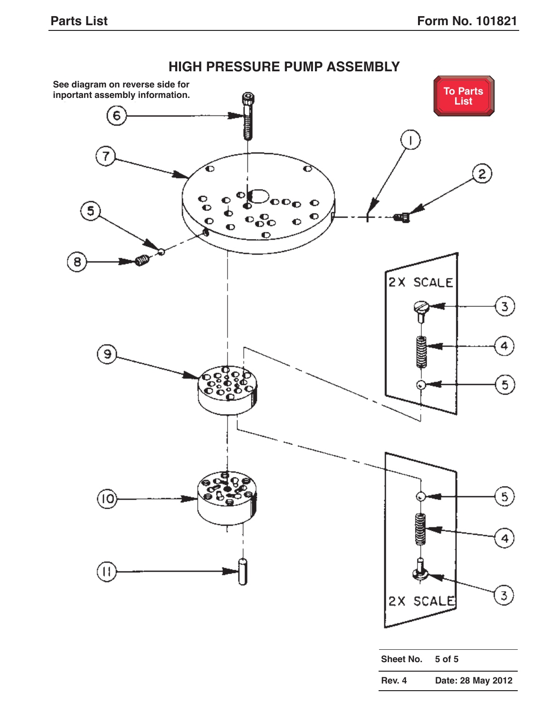